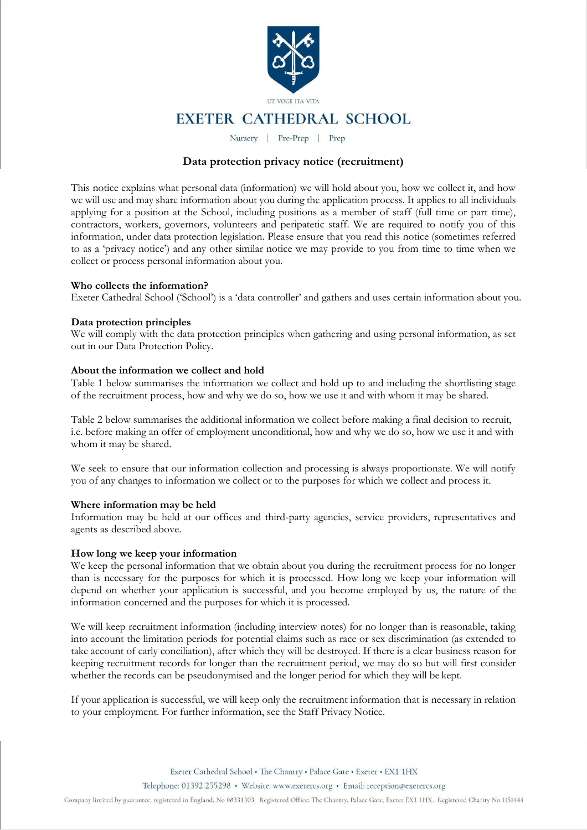

# **EXETER CATHEDRAL SCHOOL**

Nursery | Pre-Prep | Prep

# **Data protection privacy notice (recruitment)**

This notice explains what personal data (information) we will hold about you, how we collect it, and how we will use and may share information about you during the application process. It applies to all individuals applying for a position at the School, including positions as a member of staff (full time or part time), contractors, workers, governors, volunteers and peripatetic staff. We are required to notify you of this information, under data protection legislation. Please ensure that you read this notice (sometimes referred to as a 'privacy notice') and any other similar notice we may provide to you from time to time when we collect or process personal information about you.

#### **Who collects the information?**

Exeter Cathedral School ('School') is a 'data controller' and gathers and uses certain information about you.

### **Data protection principles**

We will comply with the data protection principles when gathering and using personal information, as set out in our Data Protection Policy.

#### **About the information we collect and hold**

Table 1 below summarises the information we collect and hold up to and including the shortlisting stage of the recruitment process, how and why we do so, how we use it and with whom it may be shared.

Table 2 below summarises the additional information we collect before making a final decision to recruit, i.e. before making an offer of employment unconditional, how and why we do so, how we use it and with whom it may be shared.

We seek to ensure that our information collection and processing is always proportionate. We will notify you of any changes to information we collect or to the purposes for which we collect and process it.

#### **Where information may be held**

Information may be held at our offices and third-party agencies, service providers, representatives and agents as described above.

#### **How long we keep your information**

We keep the personal information that we obtain about you during the recruitment process for no longer than is necessary for the purposes for which it is processed. How long we keep your information will depend on whether your application is successful, and you become employed by us, the nature of the information concerned and the purposes for which it is processed.

We will keep recruitment information (including interview notes) for no longer than is reasonable, taking into account the limitation periods for potential claims such as race or sex discrimination (as extended to take account of early conciliation), after which they will be destroyed. If there is a clear business reason for keeping recruitment records for longer than the recruitment period, we may do so but will first consider whether the records can be pseudonymised and the longer period for which they will be kept.

If your application is successful, we will keep only the recruitment information that is necessary in relation to your employment. For further information, see the Staff Privacy Notice.

Exeter Cathedral School . The Chantry . Palace Gate . Exeter . EX1 1HX

Telephone: 01392 255298 · Website: www.exetercs.org · Email: reception@exetercs.org

Company limited by guarantee, registered in England, No 08331303. Registered Office: The Chantry, Palace Gate, Exeter EX1 1HX. Registered Charity No 1151444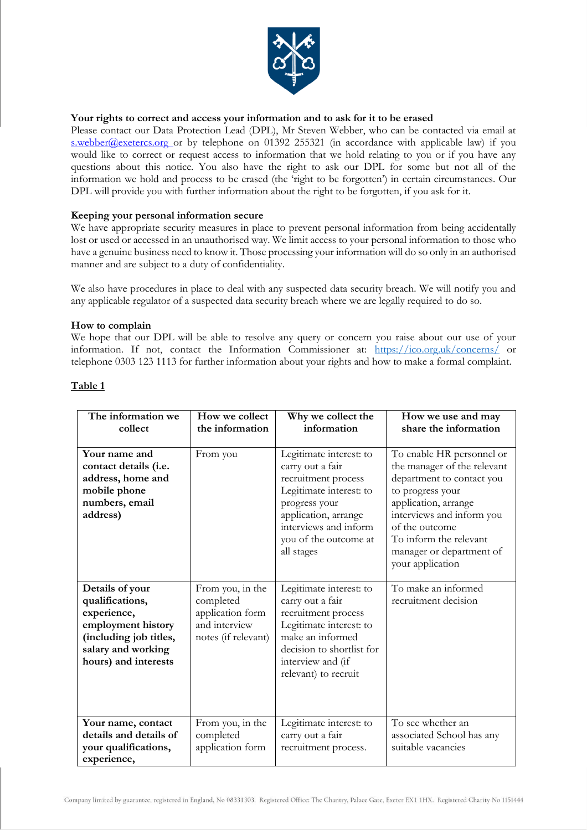

# **Your rights to correct and access your information and to ask for it to be erased**

Please contact our Data Protection Lead (DPL), Mr Steven Webber, who can be contacted via email at [s.webber@exetercs.org o](mailto:s.webber@exetercs.org)r by telephone on 01392 255321 (in accordance with applicable law) if you would like to correct or request access to information that we hold relating to you or if you have any questions about this notice. You also have the right to ask our DPL for some but not all of the information we hold and process to be erased (the 'right to be forgotten') in certain circumstances. Our DPL will provide you with further information about the right to be forgotten, if you ask for it.

# **Keeping your personal information secure**

We have appropriate security measures in place to prevent personal information from being accidentally lost or used or accessed in an unauthorised way. We limit access to your personal information to those who have a genuine business need to know it. Those processing your information will do so only in an authorised manner and are subject to a duty of confidentiality.

We also have procedures in place to deal with any suspected data security breach. We will notify you and any applicable regulator of a suspected data security breach where we are legally required to do so.

# **How to complain**

We hope that our DPL will be able to resolve any query or concern you raise about our use of your information. If not, contact the Information Commissioner at: https://ico.org.uk/concerns/ or telephone 0303 123 1113 for further information about your rights and how to make a formal complaint.

| The information we<br>collect                                                                                                                   | How we collect<br>the information                                                         | Why we collect the<br>information                                                                                                                                                                      | How we use and may<br>share the information                                                                                                                                                                                                                |
|-------------------------------------------------------------------------------------------------------------------------------------------------|-------------------------------------------------------------------------------------------|--------------------------------------------------------------------------------------------------------------------------------------------------------------------------------------------------------|------------------------------------------------------------------------------------------------------------------------------------------------------------------------------------------------------------------------------------------------------------|
| Your name and<br>contact details (i.e.<br>address, home and<br>mobile phone<br>numbers, email<br>address)                                       | From you                                                                                  | Legitimate interest: to<br>carry out a fair<br>recruitment process<br>Legitimate interest: to<br>progress your<br>application, arrange<br>interviews and inform<br>you of the outcome at<br>all stages | To enable HR personnel or<br>the manager of the relevant<br>department to contact you<br>to progress your<br>application, arrange<br>interviews and inform you<br>of the outcome<br>To inform the relevant<br>manager or department of<br>your application |
| Details of your<br>qualifications,<br>experience,<br>employment history<br>(including job titles,<br>salary and working<br>hours) and interests | From you, in the<br>completed<br>application form<br>and interview<br>notes (if relevant) | Legitimate interest: to<br>carry out a fair<br>recruitment process<br>Legitimate interest: to<br>make an informed<br>decision to shortlist for<br>interview and (if<br>relevant) to recruit            | To make an informed<br>recruitment decision                                                                                                                                                                                                                |
| Your name, contact<br>details and details of<br>your qualifications,<br>experience,                                                             | From you, in the<br>completed<br>application form                                         | Legitimate interest: to<br>carry out a fair<br>recruitment process.                                                                                                                                    | To see whether an<br>associated School has any<br>suitable vacancies                                                                                                                                                                                       |

# **Table 1**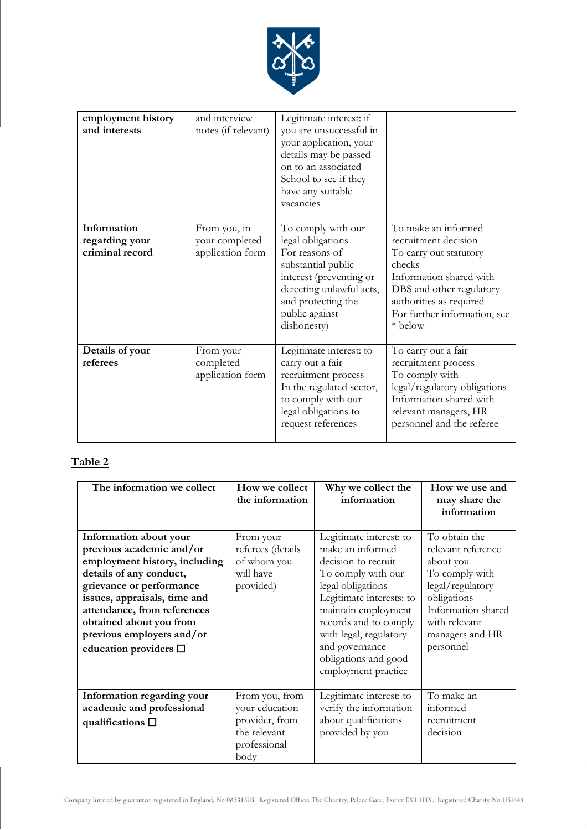

| employment history<br>and interests              | and interview<br>notes (if relevant)               | Legitimate interest: if<br>you are unsuccessful in<br>your application, your<br>details may be passed<br>on to an associated<br>School to see if they<br>have any suitable<br>vacancies       |                                                                                                                                                                                                              |
|--------------------------------------------------|----------------------------------------------------|-----------------------------------------------------------------------------------------------------------------------------------------------------------------------------------------------|--------------------------------------------------------------------------------------------------------------------------------------------------------------------------------------------------------------|
| Information<br>regarding your<br>criminal record | From you, in<br>your completed<br>application form | To comply with our<br>legal obligations<br>For reasons of<br>substantial public<br>interest (preventing or<br>detecting unlawful acts,<br>and protecting the<br>public against<br>dishonesty) | To make an informed<br>recruitment decision<br>To carry out statutory<br>checks<br>Information shared with<br>DBS and other regulatory<br>authorities as required<br>For further information, see<br>* below |
| Details of your<br>referees                      | From your<br>completed<br>application form         | Legitimate interest: to<br>carry out a fair<br>recruitment process<br>In the regulated sector,<br>to comply with our<br>legal obligations to<br>request references                            | To carry out a fair<br>recruitment process<br>To comply with<br>legal/regulatory obligations<br>Information shared with<br>relevant managers, HR<br>personnel and the referee                                |

# **Table 2**

| The information we collect                                                                                                                                                                                                                                                                         | How we collect<br>the information                                                          | Why we collect the<br>information                                                                                                                                                                                                                                                    | How we use and<br>may share the<br>information                                                                                                                               |
|----------------------------------------------------------------------------------------------------------------------------------------------------------------------------------------------------------------------------------------------------------------------------------------------------|--------------------------------------------------------------------------------------------|--------------------------------------------------------------------------------------------------------------------------------------------------------------------------------------------------------------------------------------------------------------------------------------|------------------------------------------------------------------------------------------------------------------------------------------------------------------------------|
| Information about your<br>previous academic and/or<br>employment history, including<br>details of any conduct,<br>grievance or performance<br>issues, appraisals, time and<br>attendance, from references<br>obtained about you from<br>previous employers and/or<br>education providers $\square$ | From your<br>referees (details<br>of whom you<br>will have<br>provided)                    | Legitimate interest: to<br>make an informed<br>decision to recruit<br>To comply with our<br>legal obligations<br>Legitimate interests: to<br>maintain employment<br>records and to comply<br>with legal, regulatory<br>and governance<br>obligations and good<br>employment practice | To obtain the<br>relevant reference<br>about you<br>To comply with<br>legal/regulatory<br>obligations<br>Information shared<br>with relevant<br>managers and HR<br>personnel |
| Information regarding your<br>academic and professional<br>qualifications $\square$                                                                                                                                                                                                                | From you, from<br>your education<br>provider, from<br>the relevant<br>professional<br>body | Legitimate interest: to<br>verify the information<br>about qualifications<br>provided by you                                                                                                                                                                                         | To make an<br>informed<br>recruitment<br>decision                                                                                                                            |